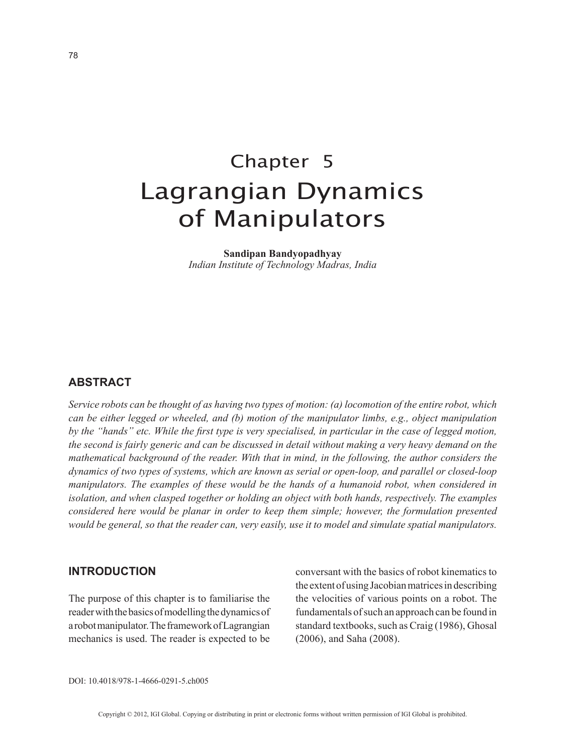# Chapter 5 Lagrangian Dynamics of Manipulators

**Sandipan Bandyopadhyay** *Indian Institute of Technology Madras, India*

## **ABSTRACT**

*Service robots can be thought of as having two types of motion: (a) locomotion of the entire robot, which can be either legged or wheeled, and (b) motion of the manipulator limbs, e.g., object manipulation by the "hands" etc. While the first type is very specialised, in particular in the case of legged motion, the second is fairly generic and can be discussed in detail without making a very heavy demand on the mathematical background of the reader. With that in mind, in the following, the author considers the dynamics of two types of systems, which are known as serial or open-loop, and parallel or closed-loop manipulators. The examples of these would be the hands of a humanoid robot, when considered in isolation, and when clasped together or holding an object with both hands, respectively. The examples considered here would be planar in order to keep them simple; however, the formulation presented would be general, so that the reader can, very easily, use it to model and simulate spatial manipulators.*

#### **INTRODUCTION**

The purpose of this chapter is to familiarise the reader with the basics of modelling the dynamics of a robot manipulator. The framework of Lagrangian mechanics is used. The reader is expected to be conversant with the basics of robot kinematics to the extent of using Jacobian matrices in describing the velocities of various points on a robot. The fundamentals of such an approach can be found in standard textbooks, such as Craig (1986), Ghosal (2006), and Saha (2008).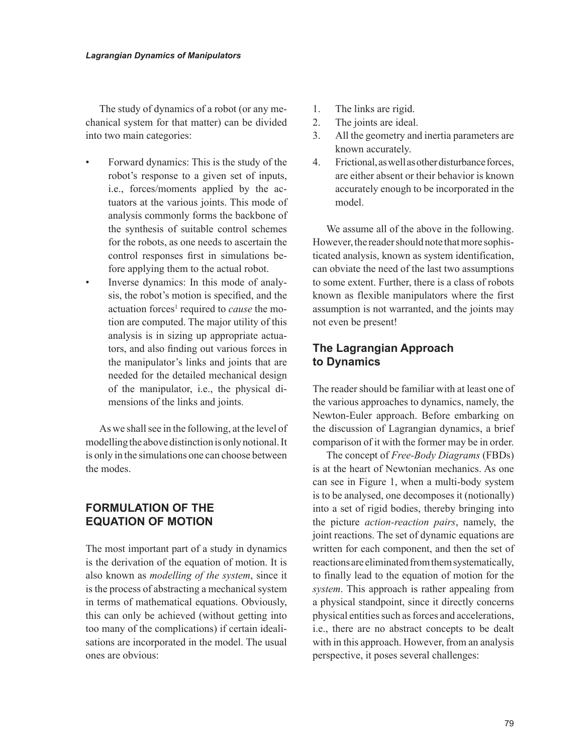The study of dynamics of a robot (or any mechanical system for that matter) can be divided into two main categories:

- Forward dynamics: This is the study of the robot's response to a given set of inputs, i.e., forces/moments applied by the actuators at the various joints. This mode of analysis commonly forms the backbone of the synthesis of suitable control schemes for the robots, as one needs to ascertain the control responses first in simulations before applying them to the actual robot.
- Inverse dynamics: In this mode of analysis, the robot's motion is specified, and the actuation forces<sup>1</sup> required to *cause* the motion are computed. The major utility of this analysis is in sizing up appropriate actuators, and also finding out various forces in the manipulator's links and joints that are needed for the detailed mechanical design of the manipulator, i.e., the physical dimensions of the links and joints.

As we shall see in the following, at the level of modelling the above distinction is only notional. It is only in the simulations one can choose between the modes.

## **FORMULATION OF THE EQUATION OF MOTION**

The most important part of a study in dynamics is the derivation of the equation of motion. It is also known as *modelling of the system*, since it is the process of abstracting a mechanical system in terms of mathematical equations. Obviously, this can only be achieved (without getting into too many of the complications) if certain idealisations are incorporated in the model. The usual ones are obvious:

- 1. The links are rigid.
- 2. The joints are ideal.
- 3. All the geometry and inertia parameters are known accurately.
- 4. Frictional, as well as other disturbance forces, are either absent or their behavior is known accurately enough to be incorporated in the model.

We assume all of the above in the following. However, the reader should note that more sophisticated analysis, known as system identification, can obviate the need of the last two assumptions to some extent. Further, there is a class of robots known as flexible manipulators where the first assumption is not warranted, and the joints may not even be present!

## **The Lagrangian Approach to Dynamics**

The reader should be familiar with at least one of the various approaches to dynamics, namely, the Newton-Euler approach. Before embarking on the discussion of Lagrangian dynamics, a brief comparison of it with the former may be in order.

The concept of *Free-Body Diagrams* (FBDs) is at the heart of Newtonian mechanics. As one can see in Figure 1, when a multi-body system is to be analysed, one decomposes it (notionally) into a set of rigid bodies, thereby bringing into the picture *action-reaction pairs*, namely, the joint reactions. The set of dynamic equations are written for each component, and then the set of reactions are eliminated from them systematically, to finally lead to the equation of motion for the *system*. This approach is rather appealing from a physical standpoint, since it directly concerns physical entities such as forces and accelerations, i.e., there are no abstract concepts to be dealt with in this approach. However, from an analysis perspective, it poses several challenges: